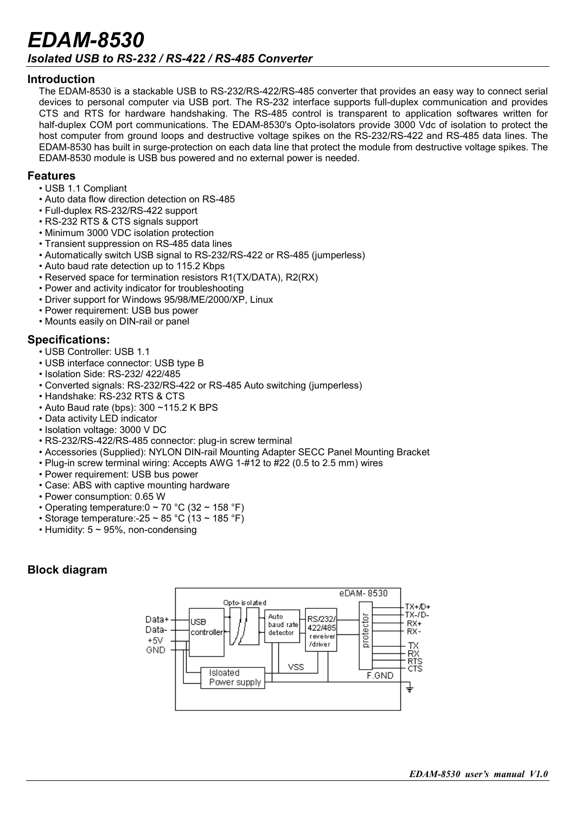# *EDAM-8530 Isolated USB to RS-232 / RS-422 / RS-485 Converter*

#### **Introduction**

The EDAM-8530 is a stackable USB to RS-232/RS-422/RS-485 converter that provides an easy way to connect serial devices to personal computer via USB port. The RS-232 interface supports full-duplex communication and provides CTS and RTS for hardware handshaking. The RS-485 control is transparent to application softwares written for half-duplex COM port communications. The EDAM-8530's Opto-isolators provide 3000 Vdc of isolation to protect the host computer from ground loops and destructive voltage spikes on the RS-232/RS-422 and RS-485 data lines. The EDAM-8530 has built in surge-protection on each data line that protect the module from destructive voltage spikes. The EDAM-8530 module is USB bus powered and no external power is needed.

#### **Features**

- USB 1.1 Compliant
- Auto data flow direction detection on RS-485
- Full-duplex RS-232/RS-422 support
- RS-232 RTS & CTS signals support
- Minimum 3000 VDC isolation protection
- Transient suppression on RS-485 data lines
- Automatically switch USB signal to RS-232/RS-422 or RS-485 (jumperless)
- Auto baud rate detection up to 115.2 Kbps
- Reserved space for termination resistors R1(TX/DATA), R2(RX)
- Power and activity indicator for troubleshooting
- Driver support for Windows 95/98/ME/2000/XP, Linux
- Power requirement: USB bus power
- Mounts easily on DIN-rail or panel

#### **Specifications:**

- USB Controller: USB 1.1
- USB interface connector: USB type B
- Isolation Side: RS-232/ 422/485
- Converted signals: RS-232/RS-422 or RS-485 Auto switching (jumperless)
- Handshake: RS-232 RTS & CTS
- Auto Baud rate (bps): 300 ~115.2 K BPS
- Data activity LED indicator
- Isolation voltage: 3000 V DC
- RS-232/RS-422/RS-485 connector: plug-in screw terminal
- Accessories (Supplied): NYLON DIN-rail Mounting Adapter SECC Panel Mounting Bracket
- Plug-in screw terminal wiring: Accepts AWG 1-#12 to #22 (0.5 to 2.5 mm) wires
- Power requirement: USB bus power
- Case: ABS with captive mounting hardware
- Power consumption: 0.65 W
- Operating temperature:  $0 \sim 70$  °C (32  $\sim$  158 °F)
- Storage temperature: -25 ~ 85 °C (13 ~ 185 °F)
- Humidity:  $5 \sim 95\%$ , non-condensing

### **Block diagram**